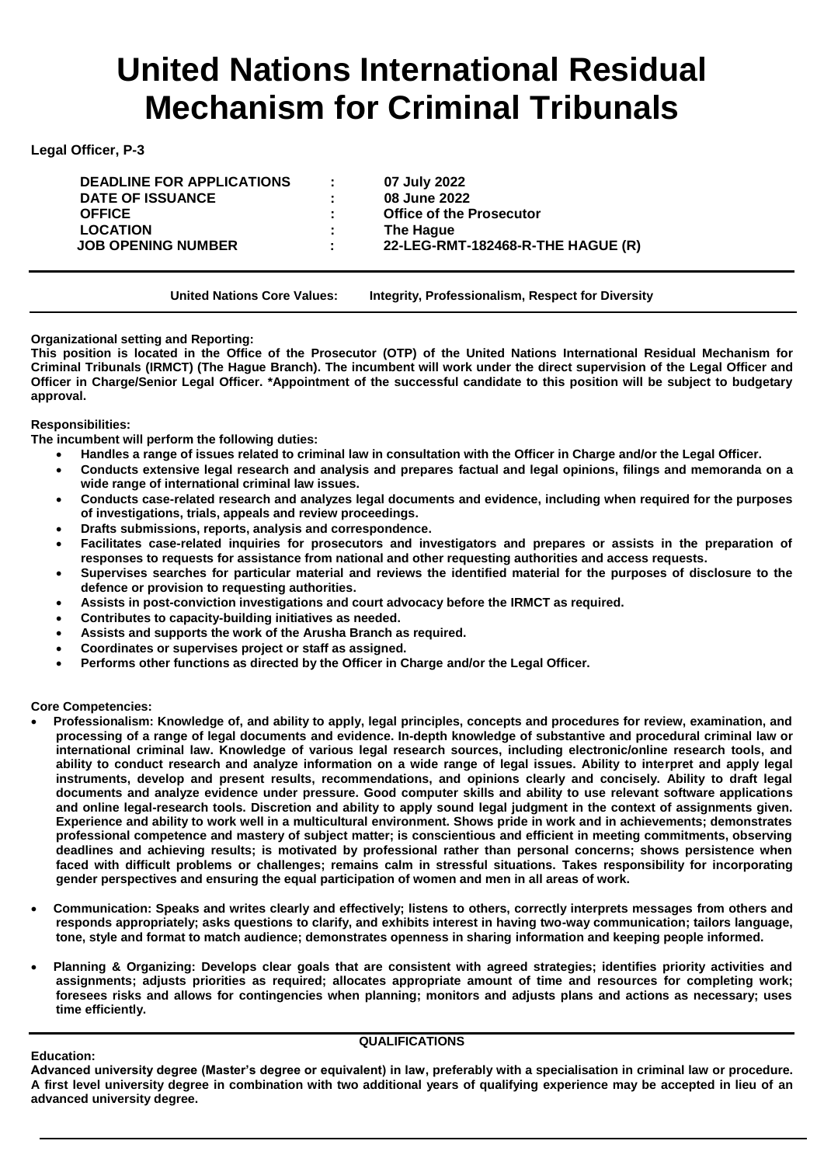# **United Nations International Residual Mechanism for Criminal Tribunals**

**Legal Officer, P-3**

**DEADLINE FOR APPLICATIONS : 07 July 2022 DATE OF ISSUANCE : 08 June 2022 OFFICE : Office of the Prosecutor LOCATION : The Hague**

 **JOB OPENING NUMBER : 22-LEG-RMT-182468-R-THE HAGUE (R)**

**United Nations Core Values: Integrity, Professionalism, Respect for Diversity**

**Organizational setting and Reporting:**

**This position is located in the Office of the Prosecutor (OTP) of the United Nations International Residual Mechanism for Criminal Tribunals (IRMCT) (The Hague Branch). The incumbent will work under the direct supervision of the Legal Officer and Officer in Charge/Senior Legal Officer. \*Appointment of the successful candidate to this position will be subject to budgetary approval.**

## **Responsibilities:**

**The incumbent will perform the following duties:** 

- **Handles a range of issues related to criminal law in consultation with the Officer in Charge and/or the Legal Officer.**
- **Conducts extensive legal research and analysis and prepares factual and legal opinions, filings and memoranda on a wide range of international criminal law issues.**
- **Conducts case-related research and analyzes legal documents and evidence, including when required for the purposes of investigations, trials, appeals and review proceedings.**
- **Drafts submissions, reports, analysis and correspondence.**
- **Facilitates case-related inquiries for prosecutors and investigators and prepares or assists in the preparation of responses to requests for assistance from national and other requesting authorities and access requests.**
- **Supervises searches for particular material and reviews the identified material for the purposes of disclosure to the defence or provision to requesting authorities.**
- **Assists in post-conviction investigations and court advocacy before the IRMCT as required.**
- **Contributes to capacity-building initiatives as needed.**
- **Assists and supports the work of the Arusha Branch as required.**
- **Coordinates or supervises project or staff as assigned.**
- **Performs other functions as directed by the Officer in Charge and/or the Legal Officer.**

**Core Competencies:**

**Education:**

- **Professionalism: Knowledge of, and ability to apply, legal principles, concepts and procedures for review, examination, and processing of a range of legal documents and evidence. In-depth knowledge of substantive and procedural criminal law or international criminal law. Knowledge of various legal research sources, including electronic/online research tools, and ability to conduct research and analyze information on a wide range of legal issues. Ability to interpret and apply legal instruments, develop and present results, recommendations, and opinions clearly and concisely. Ability to draft legal documents and analyze evidence under pressure. Good computer skills and ability to use relevant software applications and online legal-research tools. Discretion and ability to apply sound legal judgment in the context of assignments given. Experience and ability to work well in a multicultural environment. Shows pride in work and in achievements; demonstrates professional competence and mastery of subject matter; is conscientious and efficient in meeting commitments, observing deadlines and achieving results; is motivated by professional rather than personal concerns; shows persistence when faced with difficult problems or challenges; remains calm in stressful situations. Takes responsibility for incorporating gender perspectives and ensuring the equal participation of women and men in all areas of work.**
- **Communication: Speaks and writes clearly and effectively; listens to others, correctly interprets messages from others and responds appropriately; asks questions to clarify, and exhibits interest in having two-way communication; tailors language, tone, style and format to match audience; demonstrates openness in sharing information and keeping people informed.**
- **Planning & Organizing: Develops clear goals that are consistent with agreed strategies; identifies priority activities and assignments; adjusts priorities as required; allocates appropriate amount of time and resources for completing work; foresees risks and allows for contingencies when planning; monitors and adjusts plans and actions as necessary; uses time efficiently.**

## **QUALIFICATIONS**

**Advanced university degree (Master's degree or equivalent) in law, preferably with a specialisation in criminal law or procedure. A first level university degree in combination with two additional years of qualifying experience may be accepted in lieu of an advanced university degree.**